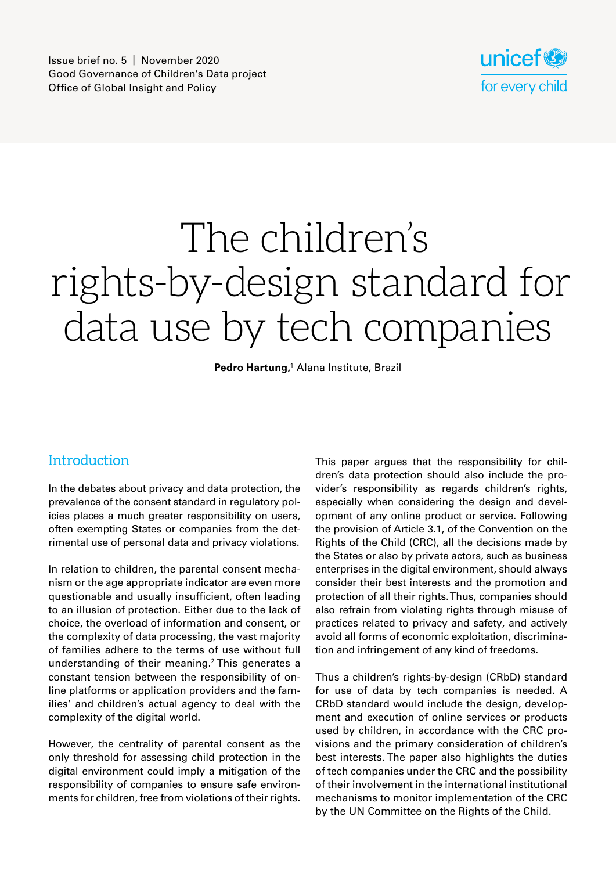

# The children's rights-by-design standard for data use by tech companies

Pedro Hartung,<sup>1</sup> Alana Institute, Brazil

### **Introduction**

In the debates about privacy and data protection, the prevalence of the consent standard in regulatory policies places a much greater responsibility on users, often exempting States or companies from the detrimental use of personal data and privacy violations.

In relation to children, the parental consent mechanism or the age appropriate indicator are even more questionable and usually insufficient, often leading to an illusion of protection. Either due to the lack of choice, the overload of information and consent, or the complexity of data processing, the vast majority of families adhere to the terms of use without full understanding of their meaning.2 This generates a constant tension between the responsibility of online platforms or application providers and the families' and children's actual agency to deal with the complexity of the digital world.

However, the centrality of parental consent as the only threshold for assessing child protection in the digital environment could imply a mitigation of the responsibility of companies to ensure safe environments for children, free from violations of their rights. This paper argues that the responsibility for children's data protection should also include the provider's responsibility as regards children's rights, especially when considering the design and development of any online product or service. Following the provision of Article 3.1, of the Convention on the Rights of the Child (CRC), all the decisions made by the States or also by private actors, such as business enterprises in the digital environment, should always consider their best interests and the promotion and protection of all their rights. Thus, companies should also refrain from violating rights through misuse of practices related to privacy and safety, and actively avoid all forms of economic exploitation, discrimination and infringement of any kind of freedoms.

Thus a children's rights-by-design (CRbD) standard for use of data by tech companies is needed. A CRbD standard would include the design, development and execution of online services or products used by children, in accordance with the CRC provisions and the primary consideration of children's best interests. The paper also highlights the duties of tech companies under the CRC and the possibility of their involvement in the international institutional mechanisms to monitor implementation of the CRC by the UN Committee on the Rights of the Child.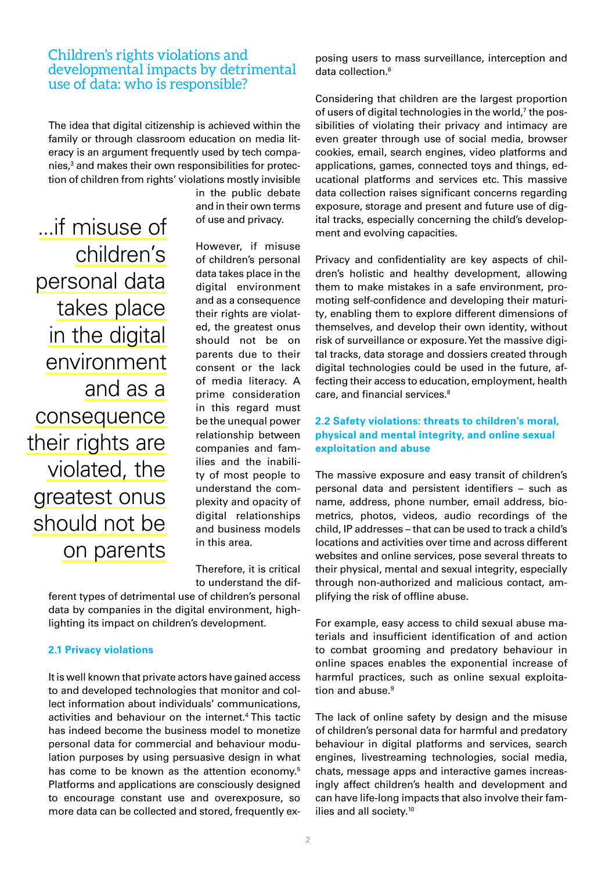### Children's rights violations and developmental impacts by detrimental use of data: who is responsible?

The idea that digital citizenship is achieved within the family or through classroom education on media literacy is an argument frequently used by tech companies,<sup>3</sup> and makes their own responsibilities for protection of children from rights' violations mostly invisible

...if misuse of children's personal data takes place in the digital environment and as a consequence their rights are violated, the greatest onus should not be on parents

in the public debate and in their own terms of use and privacy.

However, if misuse of children's personal data takes place in the digital environment and as a consequence their rights are violated, the greatest onus should not be on parents due to their consent or the lack of media literacy. A prime consideration in this regard must be the unequal power relationship between companies and families and the inability of most people to understand the complexity and opacity of digital relationships and business models in this area.

Therefore, it is critical to understand the dif-

ferent types of detrimental use of children's personal data by companies in the digital environment, highlighting its impact on children's development.

### **2.1 Privacy violations**

It is well known that private actors have gained access to and developed technologies that monitor and collect information about individuals' communications, activities and behaviour on the internet.<sup>4</sup> This tactic has indeed become the business model to monetize personal data for commercial and behaviour modulation purposes by using persuasive design in what has come to be known as the attention economy.<sup>5</sup> Platforms and applications are consciously designed to encourage constant use and overexposure, so more data can be collected and stored, frequently exposing users to mass surveillance, interception and data collection.<sup>6</sup>

Considering that children are the largest proportion of users of digital technologies in the world,<sup>7</sup> the possibilities of violating their privacy and intimacy are even greater through use of social media, browser cookies, email, search engines, video platforms and applications, games, connected toys and things, educational platforms and services etc. This massive data collection raises significant concerns regarding exposure, storage and present and future use of digital tracks, especially concerning the child's development and evolving capacities.

Privacy and confidentiality are key aspects of children's holistic and healthy development, allowing them to make mistakes in a safe environment, promoting self-confidence and developing their maturity, enabling them to explore different dimensions of themselves, and develop their own identity, without risk of surveillance or exposure. Yet the massive digital tracks, data storage and dossiers created through digital technologies could be used in the future, affecting their access to education, employment, health care, and financial services.<sup>8</sup>

### **2.2 Safety violations: threats to children's moral, physical and mental integrity, and online sexual exploitation and abuse**

The massive exposure and easy transit of children's personal data and persistent identifiers – such as name, address, phone number, email address, biometrics, photos, videos, audio recordings of the child, IP addresses – that can be used to track a child's locations and activities over time and across different websites and online services, pose several threats to their physical, mental and sexual integrity, especially through non-authorized and malicious contact, amplifying the risk of offline abuse.

For example, easy access to child sexual abuse materials and insufficient identification of and action to combat grooming and predatory behaviour in online spaces enables the exponential increase of harmful practices, such as online sexual exploitation and abuse.<sup>9</sup>

The lack of online safety by design and the misuse of children's personal data for harmful and predatory behaviour in digital platforms and services, search engines, livestreaming technologies, social media, chats, message apps and interactive games increasingly affect children's health and development and can have life-long impacts that also involve their families and all society.<sup>10</sup>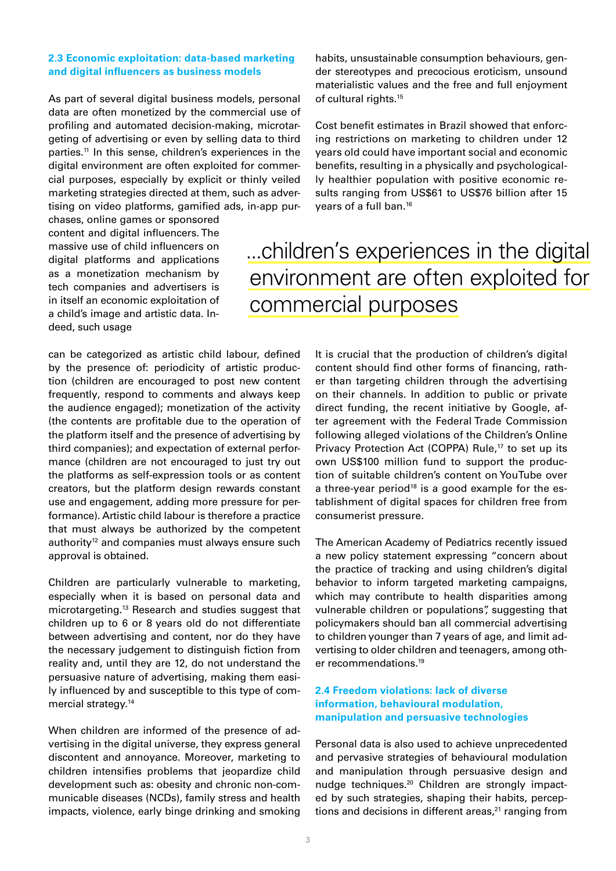### **2.3 Economic exploitation: data-based marketing and digital influencers as business models**

As part of several digital business models, personal data are often monetized by the commercial use of profiling and automated decision-making, microtargeting of advertising or even by selling data to third parties.<sup>11</sup> In this sense, children's experiences in the digital environment are often exploited for commercial purposes, especially by explicit or thinly veiled marketing strategies directed at them, such as advertising on video platforms, gamified ads, in-app pur-

chases, online games or sponsored content and digital influencers. The massive use of child influencers on digital platforms and applications as a monetization mechanism by tech companies and advertisers is in itself an economic exploitation of a child's image and artistic data. Indeed, such usage

habits, unsustainable consumption behaviours, gender stereotypes and precocious eroticism, unsound materialistic values and the free and full enjoyment of cultural rights.<sup>15</sup>

Cost benefit estimates in Brazil showed that enforcing restrictions on marketing to children under 12 years old could have important social and economic benefits, resulting in a physically and psychologically healthier population with positive economic results ranging from US\$61 to US\$76 billion after 15 years of a full ban.16

### ...children's experiences in the digital environment are often exploited for commercial purposes

can be categorized as artistic child labour, defined by the presence of: periodicity of artistic production (children are encouraged to post new content frequently, respond to comments and always keep the audience engaged); monetization of the activity (the contents are profitable due to the operation of the platform itself and the presence of advertising by third companies); and expectation of external performance (children are not encouraged to just try out the platforms as self-expression tools or as content creators, but the platform design rewards constant use and engagement, adding more pressure for performance). Artistic child labour is therefore a practice that must always be authorized by the competent authority<sup>12</sup> and companies must always ensure such approval is obtained.

Children are particularly vulnerable to marketing, especially when it is based on personal data and microtargeting.13 Research and studies suggest that children up to 6 or 8 years old do not differentiate between advertising and content, nor do they have the necessary judgement to distinguish fiction from reality and, until they are 12, do not understand the persuasive nature of advertising, making them easily influenced by and susceptible to this type of commercial strategy.14

When children are informed of the presence of advertising in the digital universe, they express general discontent and annoyance. Moreover, marketing to children intensifies problems that jeopardize child development such as: obesity and chronic non-communicable diseases (NCDs), family stress and health impacts, violence, early binge drinking and smoking

It is crucial that the production of children's digital content should find other forms of financing, rather than targeting children through the advertising on their channels. In addition to public or private direct funding, the recent initiative by Google, after agreement with the Federal Trade Commission following alleged violations of the Children's Online Privacy Protection Act (COPPA) Rule,<sup>17</sup> to set up its own US\$100 million fund to support the production of suitable children's content on YouTube over a three-year period<sup>18</sup> is a good example for the establishment of digital spaces for children free from consumerist pressure.

The American Academy of Pediatrics recently issued a new policy statement expressing "concern about the practice of tracking and using children's digital behavior to inform targeted marketing campaigns, which may contribute to health disparities among vulnerable children or populations", suggesting that policymakers should ban all commercial advertising to children younger than 7 years of age, and limit advertising to older children and teenagers, among other recommendations.19

### **2.4 Freedom violations: lack of diverse information, behavioural modulation, manipulation and persuasive technologies**

Personal data is also used to achieve unprecedented and pervasive strategies of behavioural modulation and manipulation through persuasive design and nudge techniques.<sup>20</sup> Children are strongly impacted by such strategies, shaping their habits, perceptions and decisions in different areas, $21$  ranging from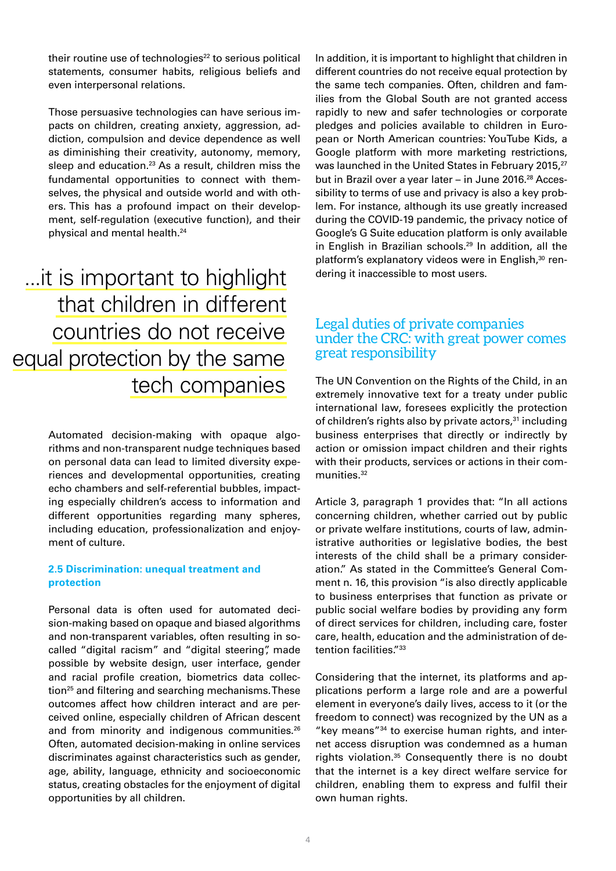their routine use of technologies $22$  to serious political statements, consumer habits, religious beliefs and even interpersonal relations.

Those persuasive technologies can have serious impacts on children, creating anxiety, aggression, addiction, compulsion and device dependence as well as diminishing their creativity, autonomy, memory, sleep and education.<sup>23</sup> As a result, children miss the fundamental opportunities to connect with themselves, the physical and outside world and with others. This has a profound impact on their development, self-regulation (executive function), and their physical and mental health.24

...it is important to highlight that children in different countries do not receive equal protection by the same tech companies

> Automated decision-making with opaque algorithms and non-transparent nudge techniques based on personal data can lead to limited diversity experiences and developmental opportunities, creating echo chambers and self-referential bubbles, impacting especially children's access to information and different opportunities regarding many spheres, including education, professionalization and enjoyment of culture.

### **2.5 Discrimination: unequal treatment and protection**

Personal data is often used for automated decision-making based on opaque and biased algorithms and non-transparent variables, often resulting in socalled "digital racism" and "digital steering", made possible by website design, user interface, gender and racial profile creation, biometrics data collection<sup>25</sup> and filtering and searching mechanisms. These outcomes affect how children interact and are perceived online, especially children of African descent and from minority and indigenous communities.<sup>26</sup> Often, automated decision-making in online services discriminates against characteristics such as gender, age, ability, language, ethnicity and socioeconomic status, creating obstacles for the enjoyment of digital opportunities by all children.

In addition, it is important to highlight that children in different countries do not receive equal protection by the same tech companies. Often, children and families from the Global South are not granted access rapidly to new and safer technologies or corporate pledges and policies available to children in European or North American countries: YouTube Kids, a Google platform with more marketing restrictions, was launched in the United States in February 2015,<sup>27</sup> but in Brazil over a year later – in June 2016.<sup>28</sup> Accessibility to terms of use and privacy is also a key problem. For instance, although its use greatly increased during the COVID-19 pandemic, the privacy notice of Google's G Suite education platform is only available in English in Brazilian schools. $29$  In addition, all the platform's explanatory videos were in English,<sup>30</sup> rendering it inaccessible to most users.

### Legal duties of private companies under the CRC: with great power comes great responsibility

The UN Convention on the Rights of the Child, in an extremely innovative text for a treaty under public international law, foresees explicitly the protection of children's rights also by private actors, $31$  including business enterprises that directly or indirectly by action or omission impact children and their rights with their products, services or actions in their communities.<sup>32</sup>

Article 3, paragraph 1 provides that: "In all actions concerning children, whether carried out by public or private welfare institutions, courts of law, administrative authorities or legislative bodies, the best interests of the child shall be a primary consideration." As stated in the Committee's General Comment n. 16, this provision "is also directly applicable to business enterprises that function as private or public social welfare bodies by providing any form of direct services for children, including care, foster care, health, education and the administration of detention facilities."<sup>33</sup>

Considering that the internet, its platforms and applications perform a large role and are a powerful element in everyone's daily lives, access to it (or the freedom to connect) was recognized by the UN as a "key means"34 to exercise human rights, and internet access disruption was condemned as a human rights violation.35 Consequently there is no doubt that the internet is a key direct welfare service for children, enabling them to express and fulfil their own human rights.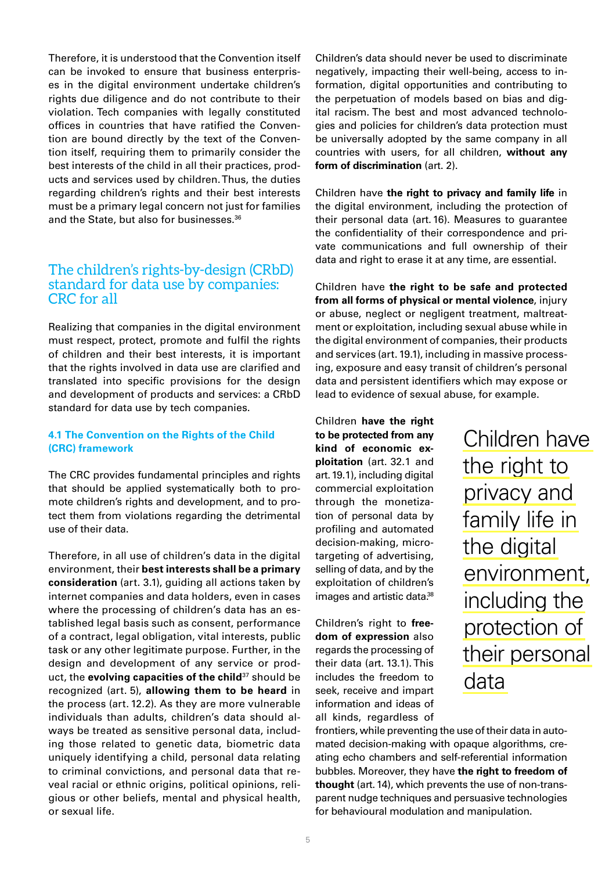Therefore, it is understood that the Convention itself can be invoked to ensure that business enterprises in the digital environment undertake children's rights due diligence and do not contribute to their violation. Tech companies with legally constituted offices in countries that have ratified the Convention are bound directly by the text of the Convention itself, requiring them to primarily consider the best interests of the child in all their practices, products and services used by children. Thus, the duties regarding children's rights and their best interests must be a primary legal concern not just for families and the State, but also for businesses.<sup>36</sup>

### The children's rights-by-design (CRbD) standard for data use by companies: CRC for all

Realizing that companies in the digital environment must respect, protect, promote and fulfil the rights of children and their best interests, it is important that the rights involved in data use are clarified and translated into specific provisions for the design and development of products and services: a CRbD standard for data use by tech companies.

### **4.1 The Convention on the Rights of the Child (CRC) framework**

The CRC provides fundamental principles and rights that should be applied systematically both to promote children's rights and development, and to protect them from violations regarding the detrimental use of their data.

Therefore, in all use of children's data in the digital environment, their **best interests shall be a primary consideration** (art. 3.1), guiding all actions taken by internet companies and data holders, even in cases where the processing of children's data has an established legal basis such as consent, performance of a contract, legal obligation, vital interests, public task or any other legitimate purpose. Further, in the design and development of any service or product, the **evolving capacities of the child**37 should be recognized (art. 5), **allowing them to be heard** in the process (art. 12.2). As they are more vulnerable individuals than adults, children's data should always be treated as sensitive personal data, including those related to genetic data, biometric data uniquely identifying a child, personal data relating to criminal convictions, and personal data that reveal racial or ethnic origins, political opinions, religious or other beliefs, mental and physical health, or sexual life.

Children's data should never be used to discriminate negatively, impacting their well-being, access to information, digital opportunities and contributing to the perpetuation of models based on bias and digital racism. The best and most advanced technologies and policies for children's data protection must be universally adopted by the same company in all countries with users, for all children, **without any form of discrimination** (art. 2).

Children have **the right to privacy and family life** in the digital environment, including the protection of their personal data (art. 16). Measures to guarantee the confidentiality of their correspondence and private communications and full ownership of their data and right to erase it at any time, are essential.

Children have **the right to be safe and protected from all forms of physical or mental violence**, injury or abuse, neglect or negligent treatment, maltreatment or exploitation, including sexual abuse while in the digital environment of companies, their products and services (art. 19.1), including in massive processing, exposure and easy transit of children's personal data and persistent identifiers which may expose or lead to evidence of sexual abuse, for example.

Children **have the right to be protected from any kind of economic exploitation** (art. 32.1 and art. 19.1), including digital commercial exploitation through the monetization of personal data by profiling and automated decision-making, microtargeting of advertising, selling of data, and by the exploitation of children's images and artistic data.<sup>38</sup>

Children's right to **freedom of expression** also regards the processing of their data (art. 13.1). This includes the freedom to seek, receive and impart information and ideas of all kinds, regardless of

Children have the right to privacy and family life in the digital environment, including the protection of their personal data

frontiers, while preventing the use of their data in automated decision-making with opaque algorithms, creating echo chambers and self-referential information bubbles. Moreover, they have **the right to freedom of thought** (art. 14), which prevents the use of non-transparent nudge techniques and persuasive technologies for behavioural modulation and manipulation.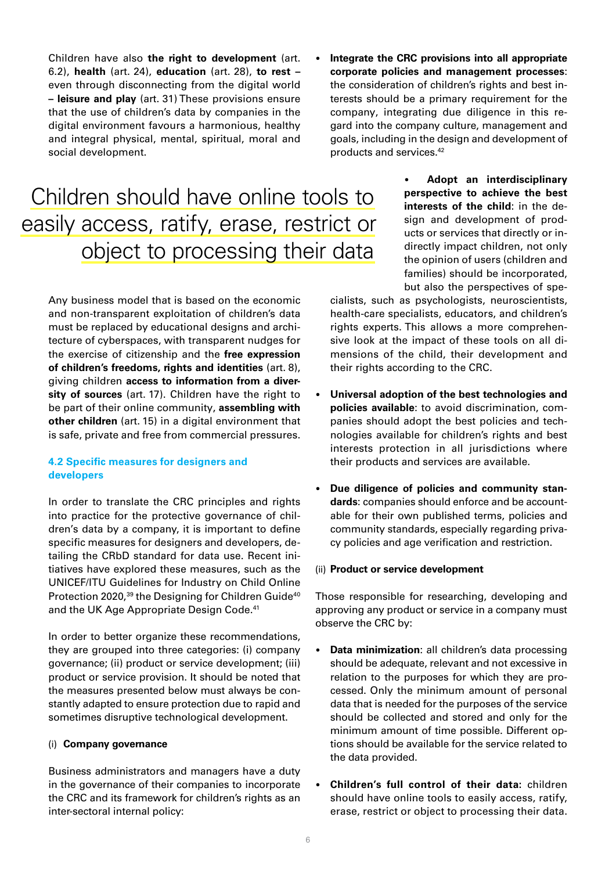Children have also **the right to development** (art. 6.2), **health** (art. 24), **education** (art. 28), **to rest –**  even through disconnecting from the digital world **– leisure and play** (art. 31) These provisions ensure that the use of children's data by companies in the digital environment favours a harmonious, healthy and integral physical, mental, spiritual, moral and social development.

## Children should have online tools to easily access, ratify, erase, restrict or object to processing their data

Any business model that is based on the economic and non-transparent exploitation of children's data must be replaced by educational designs and architecture of cyberspaces, with transparent nudges for the exercise of citizenship and the **free expression of children's freedoms, rights and identities** (art. 8), giving children **access to information from a diversity of sources** (art. 17). Children have the right to be part of their online community, **assembling with other children** (art. 15) in a digital environment that is safe, private and free from commercial pressures.

### **4.2 Specific measures for designers and developers**

In order to translate the CRC principles and rights into practice for the protective governance of children's data by a company, it is important to define specific measures for designers and developers, detailing the CRbD standard for data use. Recent initiatives have explored these measures, such as the UNICEF/ITU Guidelines for Industry on Child Online Protection 2020,<sup>39</sup> the Designing for Children Guide<sup>40</sup> and the UK Age Appropriate Design Code.<sup>41</sup>

In order to better organize these recommendations, they are grouped into three categories: (i) company governance; (ii) product or service development; (iii) product or service provision. It should be noted that the measures presented below must always be constantly adapted to ensure protection due to rapid and sometimes disruptive technological development.

### (i) **Company governance**

Business administrators and managers have a duty in the governance of their companies to incorporate the CRC and its framework for children's rights as an inter-sectoral internal policy:

• **Integrate the CRC provisions into all appropriate corporate policies and management processes**: the consideration of children's rights and best interests should be a primary requirement for the company, integrating due diligence in this regard into the company culture, management and goals, including in the design and development of products and services.42

> • **Adopt an interdisciplinary perspective to achieve the best interests of the child**: in the design and development of products or services that directly or indirectly impact children, not only the opinion of users (children and families) should be incorporated, but also the perspectives of spe-

cialists, such as psychologists, neuroscientists, health-care specialists, educators, and children's rights experts. This allows a more comprehensive look at the impact of these tools on all dimensions of the child, their development and their rights according to the CRC.

- **Universal adoption of the best technologies and policies available**: to avoid discrimination, companies should adopt the best policies and technologies available for children's rights and best interests protection in all jurisdictions where their products and services are available.
- Due diligence of policies and community stan**dards**: companies should enforce and be accountable for their own published terms, policies and community standards, especially regarding privacy policies and age verification and restriction.

#### (ii) **Product or service development**

Those responsible for researching, developing and approving any product or service in a company must observe the CRC by:

- **Data minimization**: all children's data processing should be adequate, relevant and not excessive in relation to the purposes for which they are processed. Only the minimum amount of personal data that is needed for the purposes of the service should be collected and stored and only for the minimum amount of time possible. Different options should be available for the service related to the data provided.
- **Children's full control of their data:** children should have online tools to easily access, ratify, erase, restrict or object to processing their data.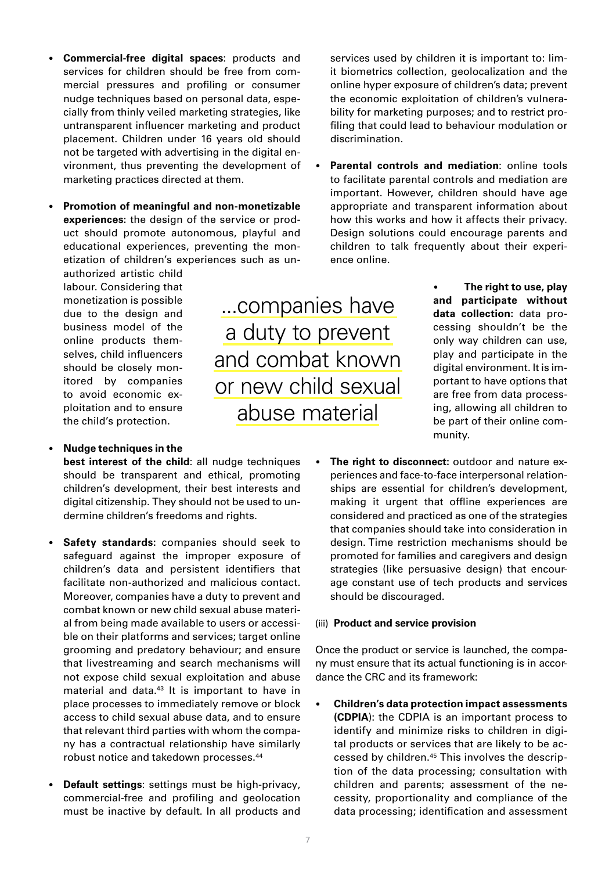- **Commercial-free digital spaces**: products and services for children should be free from commercial pressures and profiling or consumer nudge techniques based on personal data, especially from thinly veiled marketing strategies, like untransparent influencer marketing and product placement. Children under 16 years old should not be targeted with advertising in the digital environment, thus preventing the development of marketing practices directed at them.
- **Promotion of meaningful and non-monetizable experiences:** the design of the service or product should promote autonomous, playful and educational experiences, preventing the monetization of children's experiences such as un-

authorized artistic child labour. Considering that monetization is possible due to the design and business model of the online products themselves, child influencers should be closely monitored by companies to avoid economic exploitation and to ensure the child's protection.

• **Nudge techniques in the** 

**best interest of the child**: all nudge techniques should be transparent and ethical, promoting children's development, their best interests and digital citizenship. They should not be used to undermine children's freedoms and rights.

- **Safety standards:** companies should seek to safeguard against the improper exposure of children's data and persistent identifiers that facilitate non-authorized and malicious contact. Moreover, companies have a duty to prevent and combat known or new child sexual abuse material from being made available to users or accessible on their platforms and services; target online grooming and predatory behaviour; and ensure that livestreaming and search mechanisms will not expose child sexual exploitation and abuse material and data.<sup>43</sup> It is important to have in place processes to immediately remove or block access to child sexual abuse data, and to ensure that relevant third parties with whom the company has a contractual relationship have similarly robust notice and takedown processes.44
- **Default settings**: settings must be high-privacy, commercial-free and profiling and geolocation must be inactive by default. In all products and

services used by children it is important to: limit biometrics collection, geolocalization and the online hyper exposure of children's data; prevent the economic exploitation of children's vulnerability for marketing purposes; and to restrict profiling that could lead to behaviour modulation or discrimination.

**Parental controls and mediation: online tools** to facilitate parental controls and mediation are important. However, children should have age appropriate and transparent information about how this works and how it affects their privacy. Design solutions could encourage parents and children to talk frequently about their experience online.

> • **The right to use, play and participate without data collection:** data processing shouldn't be the only way children can use, play and participate in the digital environment. It is important to have options that are free from data processing, allowing all children to be part of their online community.

• **The right to disconnect:** outdoor and nature experiences and face-to-face interpersonal relationships are essential for children's development, making it urgent that offline experiences are considered and practiced as one of the strategies that companies should take into consideration in design. Time restriction mechanisms should be promoted for families and caregivers and design strategies (like persuasive design) that encourage constant use of tech products and services should be discouraged.

### (iii) **Product and service provision**

Once the product or service is launched, the company must ensure that its actual functioning is in accordance the CRC and its framework:

• **Children's data protection impact assessments (CDPIA**): the CDPIA is an important process to identify and minimize risks to children in digital products or services that are likely to be accessed by children.45 This involves the description of the data processing; consultation with children and parents; assessment of the necessity, proportionality and compliance of the data processing; identification and assessment

...companies have a duty to prevent and combat known or new child sexual abuse material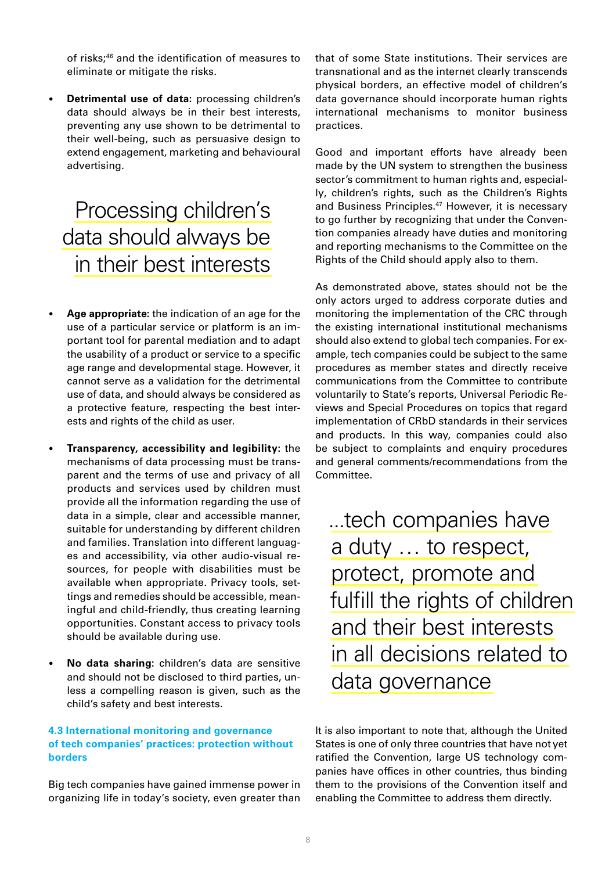of risks;46 and the identification of measures to eliminate or mitigate the risks.

• **Detrimental use of data:** processing children's data should always be in their best interests, preventing any use shown to be detrimental to their well-being, such as persuasive design to extend engagement, marketing and behavioural advertising.

## Processing children's data should always be in their best interests

- **Age appropriate:** the indication of an age for the use of a particular service or platform is an important tool for parental mediation and to adapt the usability of a product or service to a specific age range and developmental stage. However, it cannot serve as a validation for the detrimental use of data, and should always be considered as a protective feature, respecting the best interests and rights of the child as user.
- **Transparency, accessibility and legibility:** the mechanisms of data processing must be transparent and the terms of use and privacy of all products and services used by children must provide all the information regarding the use of data in a simple, clear and accessible manner, suitable for understanding by different children and families. Translation into different languages and accessibility, via other audio-visual resources, for people with disabilities must be available when appropriate. Privacy tools, settings and remedies should be accessible, meaningful and child-friendly, thus creating learning opportunities. Constant access to privacy tools should be available during use.
- **No data sharing:** children's data are sensitive and should not be disclosed to third parties, unless a compelling reason is given, such as the child's safety and best interests.

### **4.3 International monitoring and governance of tech companies' practices: protection without borders**

Big tech companies have gained immense power in organizing life in today's society, even greater than that of some State institutions. Their services are transnational and as the internet clearly transcends physical borders, an effective model of children's data governance should incorporate human rights international mechanisms to monitor business practices.

Good and important efforts have already been made by the UN system to strengthen the business sector's commitment to human rights and, especially, children's rights, such as the Children's Rights and Business Principles.<sup>47</sup> However, it is necessary to go further by recognizing that under the Convention companies already have duties and monitoring and reporting mechanisms to the Committee on the Rights of the Child should apply also to them.

As demonstrated above, states should not be the only actors urged to address corporate duties and monitoring the implementation of the CRC through the existing international institutional mechanisms should also extend to global tech companies. For example, tech companies could be subject to the same procedures as member states and directly receive communications from the Committee to contribute voluntarily to State's reports, Universal Periodic Reviews and Special Procedures on topics that regard implementation of CRbD standards in their services and products. In this way, companies could also be subject to complaints and enquiry procedures and general comments/recommendations from the Committee.

...tech companies have a duty … to respect, protect, promote and fulfill the rights of children and their best interests in all decisions related to data governance

It is also important to note that, although the United States is one of only three countries that have not yet ratified the Convention, large US technology companies have offices in other countries, thus binding them to the provisions of the Convention itself and enabling the Committee to address them directly.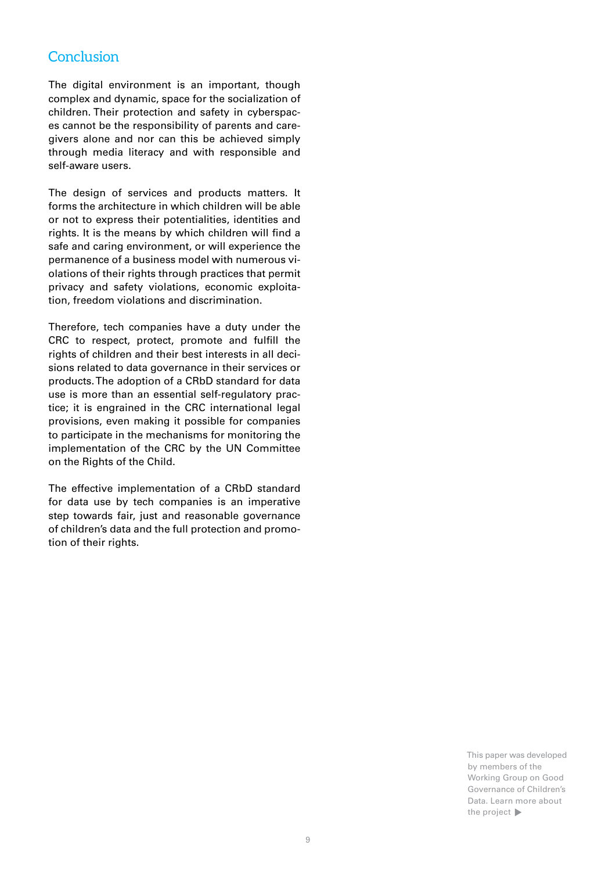### Conclusion

The digital environment is an important, though complex and dynamic, space for the socialization of children. Their protection and safety in cyberspaces cannot be the responsibility of parents and caregivers alone and nor can this be achieved simply through media literacy and with responsible and self-aware users.

The design of services and products matters. It forms the architecture in which children will be able or not to express their potentialities, identities and rights. It is the means by which children will find a safe and caring environment, or will experience the permanence of a business model with numerous violations of their rights through practices that permit privacy and safety violations, economic exploitation, freedom violations and discrimination.

Therefore, tech companies have a duty under the CRC to respect, protect, promote and fulfill the rights of children and their best interests in all decisions related to data governance in their services or products. The adoption of a CRbD standard for data use is more than an essential self-regulatory practice; it is engrained in the CRC international legal provisions, even making it possible for companies to participate in the mechanisms for monitoring the implementation of the CRC by the UN Committee on the Rights of the Child.

The effective implementation of a CRbD standard for data use by tech companies is an imperative step towards fair, just and reasonable governance of children's data and the full protection and promotion of their rights.

> This paper was developed by members of the Working Group on Good Governance of Children's Data. Learn more about the project  $\blacktriangleright$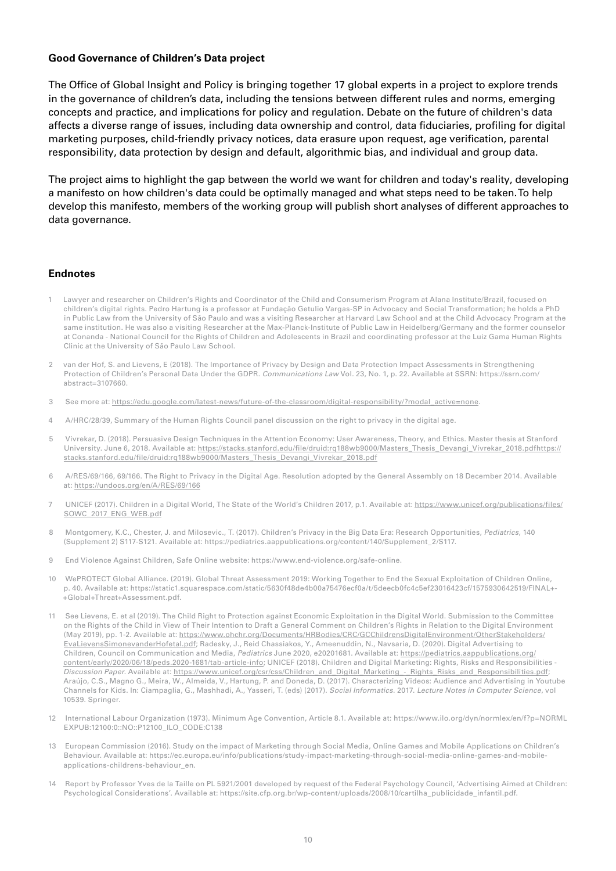### **Good Governance of Children's Data project**

The Office of Global Insight and Policy is bringing together 17 global experts in a project to explore trends in the governance of children's data, including the tensions between different rules and norms, emerging concepts and practice, and implications for policy and regulation. Debate on the future of children's data affects a diverse range of issues, including data ownership and control, data fiduciaries, profiling for digital marketing purposes, child-friendly privacy notices, data erasure upon request, age verification, parental responsibility, data protection by design and default, algorithmic bias, and individual and group data.

The project aims to highlight the gap between the world we want for children and today's reality, developing a manifesto on how children's data could be optimally managed and what steps need to be taken. To help develop this manifesto, members of the working group will publish short analyses of different approaches to data governance.

#### **Endnotes**

- Lawyer and researcher on Children's Rights and Coordinator of the Child and Consumerism Program at Alana Institute/Brazil, focused on children's digital rights. Pedro Hartung is a professor at Fundação Getulio Vargas-SP in Advocacy and Social Transformation; he holds a PhD in Public Law from the University of São Paulo and was a visiting Researcher at Harvard Law School and at the Child Advocacy Program at the same institution. He was also a visiting Researcher at the Max-Planck-Institute of Public Law in Heidelberg/Germany and the former counselor at Conanda - National Council for the Rights of Children and Adolescents in Brazil and coordinating professor at the Luiz Gama Human Rights Clinic at the University of São Paulo Law School.
- 2 van der Hof, S. and Lievens, E (2018). The Importance of Privacy by Design and Data Protection Impact Assessments in Strengthening Protection of Children's Personal Data Under the GDPR. *Communications Law* Vol. 23, No. 1, p. 22. Available at SSRN: https://ssrn.com/ abstract=3107660.
- 3 See more at: [https://edu.google.com/latest-news/future-of-the-classroom/digital-responsibility/?modal\\_active=none.](https://edu.google.com/latest-news/future-of-the-classroom/digital-responsibility/?modal_active=none)
- 4 A/HRC/28/39, Summary of the Human Rights Council panel discussion on the right to privacy in the digital age.
- 5 Vivrekar, D. (2018). Persuasive Design Techniques in the Attention Economy: User Awareness, Theory, and Ethics. Master thesis at Stanford University. June 6, 2018. Available at: [https://stacks.stanford.edu/file/druid:rq188wb9000/Masters\\_Thesis\\_Devangi\\_Vivrekar\\_2018.pdfhttps://](https://stacks.stanford.edu/file/druid:rq188wb9000/Masters_Thesis_Devangi_Vivrekar_2018.pdfhttps:/stacks.stanford.edu/file/druid:rq188wb9000/Masters_Thesis_Devangi_Vivrekar_2018.pdf) [stacks.stanford.edu/file/druid:rq188wb9000/Masters\\_Thesis\\_Devangi\\_Vivrekar\\_2018.pdf](https://stacks.stanford.edu/file/druid:rq188wb9000/Masters_Thesis_Devangi_Vivrekar_2018.pdfhttps:/stacks.stanford.edu/file/druid:rq188wb9000/Masters_Thesis_Devangi_Vivrekar_2018.pdf)
- 6 A/RES/69/166, 69/166. The Right to Privacy in the Digital Age. Resolution adopted by the General Assembly on 18 December 2014. Available at: <https://undocs.org/en/A/RES/69/166>
- 7 UNICEF (2017). Children in a Digital World, The State of the World's Children 2017, p.1. Available at: [https://www.unicef.org/publications/files/](https://www.unicef.org/publications/files/SOWC_2017_ENG_WEB.pdf) [SOWC\\_2017\\_ENG\\_WEB.pdf](https://www.unicef.org/publications/files/SOWC_2017_ENG_WEB.pdf)
- 8 Montgomery, K.C., Chester, J. and Milosevic., T. (2017). Children's Privacy in the Big Data Era: Research Opportunities, *Pediatrics*, 140 (Supplement 2) S117-S121. Available at: https://pediatrics.aappublications.org/content/140/Supplement\_2/S117.
- 9 End Violence Against Children, Safe Online website: https://www.end-violence.org/safe-online.
- 10 WePROTECT Global Alliance. (2019). Global Threat Assessment 2019: Working Together to End the Sexual Exploitation of Children Online, p. 40. Available at: https://static1.squarespace.com/static/5630f48de4b00a75476ecf0a/t/5deecb0fc4c5ef23016423cf/1575930642519/FINAL+- +Global+Threat+Assessment.pdf.
- 11 See Lievens, E. et al (2019). The Child Right to Protection against Economic Exploitation in the Digital World. Submission to the Committee on the Rights of the Child in View of Their Intention to Draft a General Comment on Children's Rights in Relation to the Digital Environment (May 2019), pp. 1-2. Available at: [https://www.ohchr.org/Documents/HRBodies/CRC/GCChildrensDigitalEnvironment/OtherStakeholders/](https://www.ohchr.org/Documents/HRBodies/CRC/GCChildrensDigitalEnvironment/OtherStakeholders/EvaLievensSimonevanderHofetal.pdf) [EvaLievensSimonevanderHofetal.pdf](https://www.ohchr.org/Documents/HRBodies/CRC/GCChildrensDigitalEnvironment/OtherStakeholders/EvaLievensSimonevanderHofetal.pdf); Radesky, J., Reid Chassiakos, Y., Ameenuddin, N., Navsaria, D. (2020). Digital Advertising to Children, Council on Communication and Media, *Pediatrics* June 2020, e20201681. Available at: [https://pediatrics.aappublications.org/](https://pediatrics.aappublications.org/content/early/2020/06/18/peds.2020-1681/tab-article-info) [content/early/2020/06/18/peds.2020-1681/tab-article-info;](https://pediatrics.aappublications.org/content/early/2020/06/18/peds.2020-1681/tab-article-info) UNICEF (2018). Children and Digital Marketing: Rights, Risks and Responsibilities - *Discussion Paper*. Available at: [https://www.unicef.org/csr/css/Children\\_and\\_Digital\\_Marketing\\_-\\_Rights\\_Risks\\_and\\_Responsibilities.pdf;](https://www.unicef.org/csr/css/Children_and_Digital_Marketing_-_Rights_Risks_and_Responsibilities.pdf) Araújo, C.S., Magno G., Meira, W., Almeida, V., Hartung, P. and Doneda, D. (2017). Characterizing Videos: Audience and Advertising in Youtube Channels for Kids. In: Ciampaglia, G., Mashhadi, A., Yasseri, T. (eds) (2017). *Social Informatics*. 2017. *Lecture Notes in Computer Science*, vol 10539. Springer.
- 12 International Labour Organization (1973). Minimum Age Convention, Article 8.1. Available at: https://www.ilo.org/dyn/normlex/en/f?p=NORML EXPUB:12100:0::NO::P12100\_ILO\_CODE:C138
- 13 European Commission (2016). Study on the impact of Marketing through Social Media, Online Games and Mobile Applications on Children's Behaviour. Available at: https://ec.europa.eu/info/publications/study-impact-marketing-through-social-media-online-games-and-mobileapplications-childrens-behaviour\_en.
- 14 Report by Professor Yves de la Taille on PL 5921/2001 developed by request of the Federal Psychology Council, 'Advertising Aimed at Children: Psychological Considerations'. Available at: https://site.cfp.org.br/wp-content/uploads/2008/10/cartilha\_publicidade\_infantil.pdf.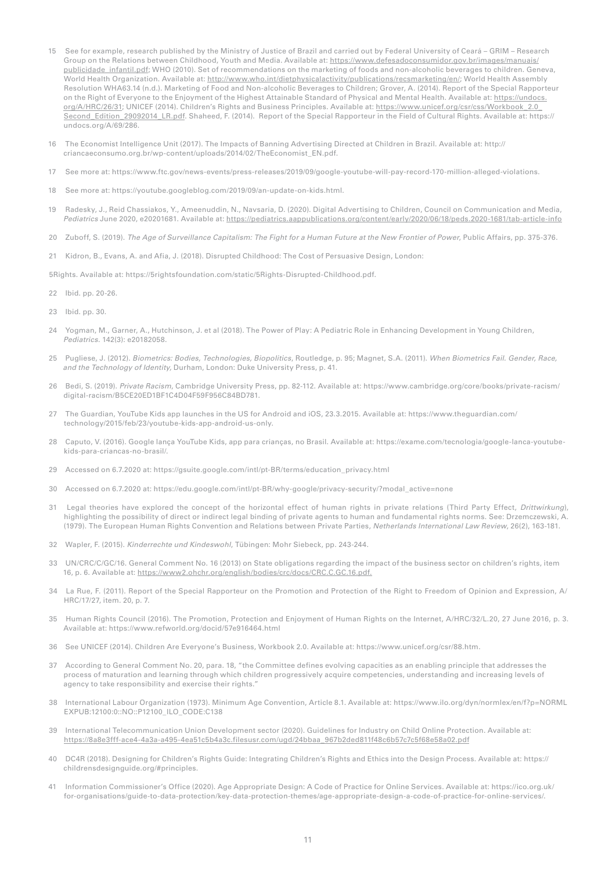- 15 See for example, research published by the Ministry of Justice of Brazil and carried out by Federal University of Ceará GRIM Research Group on the Relations between Childhood, Youth and Media. Available at: [https://www.defesadoconsumidor.gov.br/images/manuais/](https://www.defesadoconsumidor.gov.br/images/manuais/publicidade_infantil.pdf) [publicidade\\_infantil.pdf](https://www.defesadoconsumidor.gov.br/images/manuais/publicidade_infantil.pdf); WHO (2010). Set of recommendations on the marketing of foods and non-alcoholic beverages to children. Geneva, World Health Organization. Available at: [http://www.who.int/dietphysicalactivity/publications/recsmarketing/en/;](http://www.who.int/dietphysicalactivity/publications/recsmarketing/en/) World Health Assembly Resolution WHA63.14 (n.d.). Marketing of Food and Non-alcoholic Beverages to Children; Grover, A. (2014). Report of the Special Rapporteur on the Right of Everyone to the Enjoyment of the Highest Attainable Standard of Physical and Mental Health. Available at: [https://undocs.](https://undocs.org/A/HRC/26/31) [org/A/HRC/26/31;](https://undocs.org/A/HRC/26/31) UNICEF (2014). Children's Rights and Business Principles. Available at: [https://www.unicef.org/csr/css/Workbook\\_2.0\\_](https://www.unicef.org/csr/css/Workbook_2.0_Second_Edition_29092014_LR.pdf) [Second\\_Edition\\_29092014\\_LR.pdf.](https://www.unicef.org/csr/css/Workbook_2.0_Second_Edition_29092014_LR.pdf) Shaheed, F. (2014). Report of the Special Rapporteur in the Field of Cultural Rights. Available at: https:// undocs.org/A/69/286.
- 16 The Economist Intelligence Unit (2017). The Impacts of Banning Advertising Directed at Children in Brazil. Available at: http:// criancaeconsumo.org.br/wp-content/uploads/2014/02/TheEconomist\_EN.pdf.
- 17 See more at: https://www.ftc.gov/news-events/press-releases/2019/09/google-youtube-will-pay-record-170-million-alleged-violations.
- 18 See more at: https://youtube.googleblog.com/2019/09/an-update-on-kids.html.
- 19 Radesky, J., Reid Chassiakos, Y., Ameenuddin, N., Navsaria, D. (2020). Digital Advertising to Children, Council on Communication and Media, *Pediatrics* June 2020, e20201681. Available at: <https://pediatrics.aappublications.org/content/early/2020/06/18/peds.2020-1681/tab-article-info>
- 20 Zuboff, S. (2019). *The Age of Surveillance Capitalism: The Fight for a Human Future at the New Frontier of Power*, Public Affairs, pp. 375-376.
- 21 Kidron, B., Evans, A. and Afia, J. (2018). Disrupted Childhood: The Cost of Persuasive Design, London:

5Rights. Available at: https://5rightsfoundation.com/static/5Rights-Disrupted-Childhood.pdf.

- 22 Ibid. pp. 20-26.
- 23 Ibid. pp. 30.
- 24 Yogman, M., Garner, A., Hutchinson, J. et al (2018). The Power of Play: A Pediatric Role in Enhancing Development in Young Children, *Pediatrics*. 142(3): e20182058.
- 25 Pugliese, J. (2012). *Biometrics: Bodies, Technologies, Biopolitics*, Routledge, p. 95; Magnet, S.A. (2011). *When Biometrics Fail. Gender, Race, and the Technology of Identity,* Durham, London: Duke University Press, p. 41.
- 26 Bedi, S. (2019). *Private Racism*, Cambridge University Press, pp. 82-112. Available at: https://www.cambridge.org/core/books/private-racism/ digital-racism/B5CE20ED1BF1C4D04F59F956C84BD781.
- 27 The Guardian, YouTube Kids app launches in the US for Android and iOS, 23.3.2015. Available at: https://www.theguardian.com/ technology/2015/feb/23/youtube-kids-app-android-us-only.
- 28 Caputo, V. (2016). Google lança YouTube Kids, app para crianças, no Brasil. Available at: https://exame.com/tecnologia/google-lanca-youtubekids-para-criancas-no-brasil/.
- 29 Accessed on 6.7.2020 at: https://gsuite.google.com/intl/pt-BR/terms/education\_privacy.html
- 30 Accessed on 6.7.2020 at: https://edu.google.com/intl/pt-BR/why-google/privacy-security/?modal\_active=none
- 31 Legal theories have explored the concept of the horizontal effect of human rights in private relations (Third Party Effect, *Drittwirkung*), highlighting the possibility of direct or indirect legal binding of private agents to human and fundamental rights norms. See: Drzemczewski, A. (1979). The European Human Rights Convention and Relations between Private Parties, *Netherlands International Law Review*, 26(2), 163-181.
- 32 Wapler, F. (2015). *Kinderrechte und Kindeswohl*, Tübingen: Mohr Siebeck, pp. 243-244.
- 33 UN/CRC/C/GC/16. General Comment No. 16 (2013) on State obligations regarding the impact of the business sector on children's rights, item 16, p. 6. Available at: [https://www2.ohchr.org/english/bodies/crc/docs/CRC.C.GC.16.pdf.](https://www2.ohchr.org/english/bodies/crc/docs/CRC.C.GC.16.pdf)
- 34 La Rue, F. (2011). Report of the Special Rapporteur on the Promotion and Protection of the Right to Freedom of Opinion and Expression, A/ HRC/17/27, item. 20, p. 7.
- 35 Human Rights Council (2016). The Promotion, Protection and Enjoyment of Human Rights on the Internet, A/HRC/32/L.20, 27 June 2016, p. 3. Available at: https://www.refworld.org/docid/57e916464.html
- 36 See UNICEF (2014). Children Are Everyone's Business, Workbook 2.0. Available at: https://www.unicef.org/csr/88.htm.
- 37 According to General Comment No. 20, para. 18, "the Committee defines evolving capacities as an enabling principle that addresses the process of maturation and learning through which children progressively acquire competencies, understanding and increasing levels of agency to take responsibility and exercise their rights."
- 38 International Labour Organization (1973). Minimum Age Convention, Article 8.1. Available at: https://www.ilo.org/dyn/normlex/en/f?p=NORML EXPUB:12100:0::NO::P12100\_ILO\_CODE:C138
- 39 International Telecommunication Union Development sector (2020). Guidelines for Industry on Child Online Protection. Available at: [https://8a8e3fff-ace4-4a3a-a495-4ea51c5b4a3c.filesusr.com/ugd/24bbaa\\_967b2ded811f48c6b57c7c5f68e58a02.pdf](https://8a8e3fff-ace4-4a3a-a495-4ea51c5b4a3c.filesusr.com/ugd/24bbaa_967b2ded811f48c6b57c7c5f68e58a02.pdf)
- 40 DC4R (2018). Designing for Children's Rights Guide: Integrating Children's Rights and Ethics into the Design Process. Available at: https:// childrensdesignguide.org/#principles.
- 41 Information Commissioner's Office (2020). Age Appropriate Design: A Code of Practice for Online Services. Available at: https://ico.org.uk/ for-organisations/guide-to-data-protection/key-data-protection-themes/age-appropriate-design-a-code-of-practice-for-online-services/.